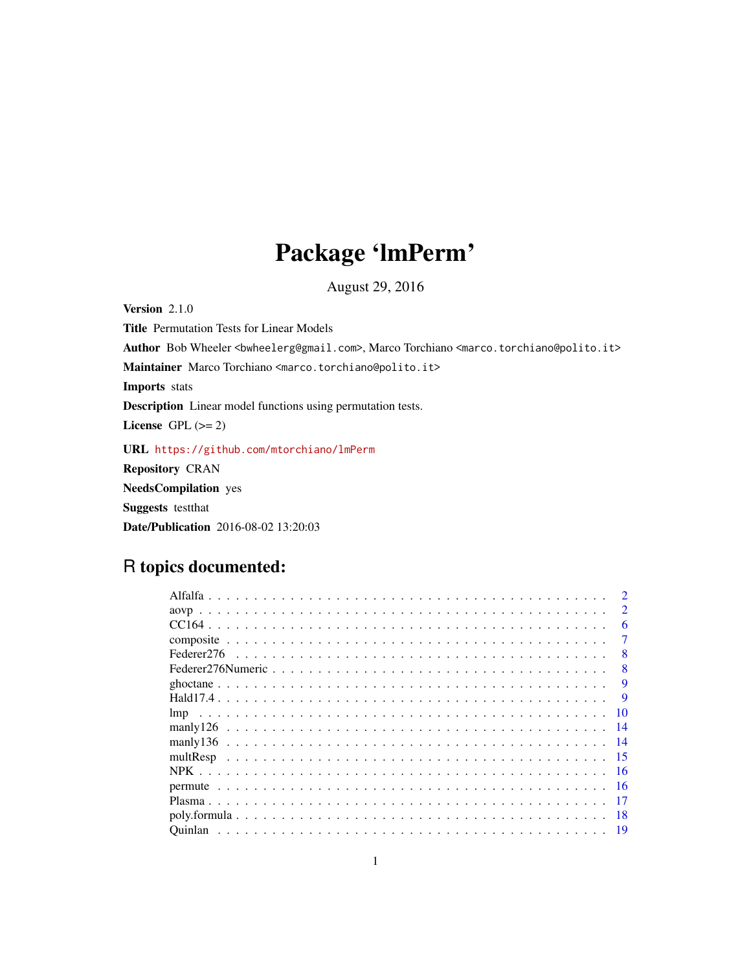## Package 'lmPerm'

August 29, 2016

<span id="page-0-0"></span>Version 2.1.0 Title Permutation Tests for Linear Models Author Bob Wheeler <bwheelerg@gmail.com>, Marco Torchiano <marco.torchiano@polito.it> Maintainer Marco Torchiano <marco.torchiano@polito.it> Imports stats Description Linear model functions using permutation tests. License GPL  $(>= 2)$ URL <https://github.com/mtorchiano/lmPerm> Repository CRAN NeedsCompilation yes Suggests testthat Date/Publication 2016-08-02 13:20:03

## R topics documented:

|                 | $\mathcal{D}_{\mathcal{L}}$ |
|-----------------|-----------------------------|
|                 | 6                           |
|                 |                             |
|                 | 8                           |
|                 | 8                           |
|                 | 9                           |
|                 |                             |
|                 | 10                          |
| manlv126<br>-14 |                             |
| - 14            |                             |
|                 |                             |
|                 |                             |
| -16             |                             |
|                 |                             |
| -18             |                             |
|                 |                             |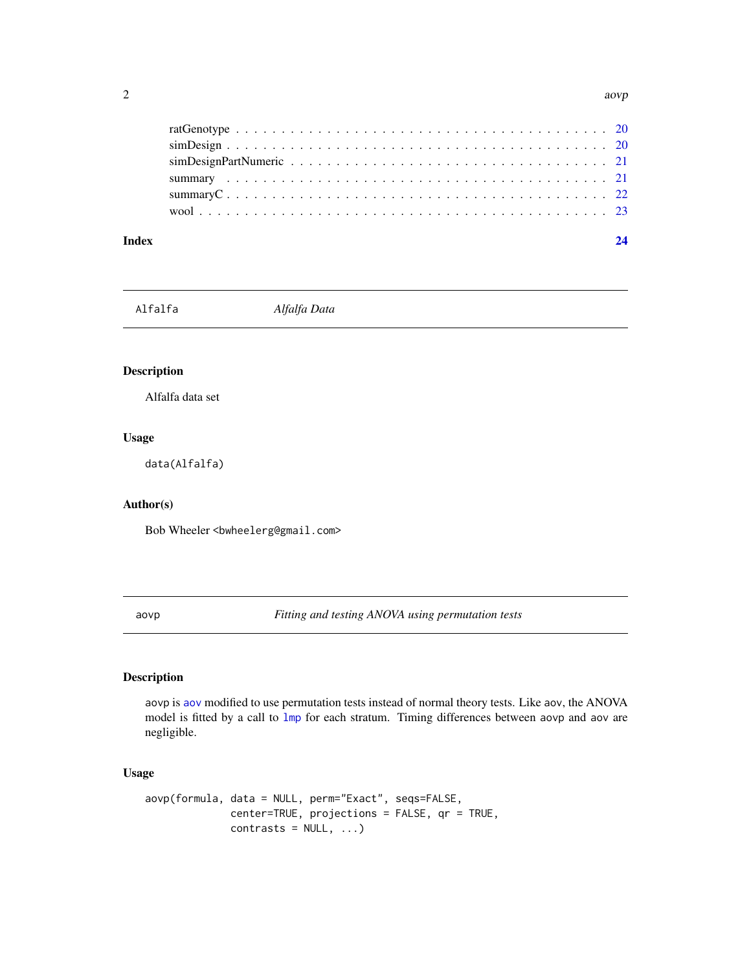<span id="page-1-0"></span>

| Index |                                                                                                                       | 24 |
|-------|-----------------------------------------------------------------------------------------------------------------------|----|
|       |                                                                                                                       |    |
|       | summary $C_1, \ldots, C_n, \ldots, C_n, \ldots, C_n, \ldots, C_n, \ldots, C_n, \ldots, C_n, \ldots, C_n, \ldots, C_n$ |    |
|       |                                                                                                                       |    |
|       |                                                                                                                       |    |
|       |                                                                                                                       |    |
|       |                                                                                                                       |    |

Alfalfa *Alfalfa Data*

## Description

Alfalfa data set

## Usage

data(Alfalfa)

## Author(s)

Bob Wheeler <br/>bwheelerg@gmail.com>

<span id="page-1-1"></span>aovp *Fitting and testing ANOVA using permutation tests*

## Description

aovp is [aov](#page-0-0) modified to use permutation tests instead of normal theory tests. Like aov, the ANOVA model is fitted by a call to [lmp](#page-9-1) for each stratum. Timing differences between aovp and aov are negligible.

#### Usage

```
aovp(formula, data = NULL, perm="Exact", seqs=FALSE,
             center=TRUE, projections = FALSE, qr = TRUE,
             contrast = NULL, ...)
```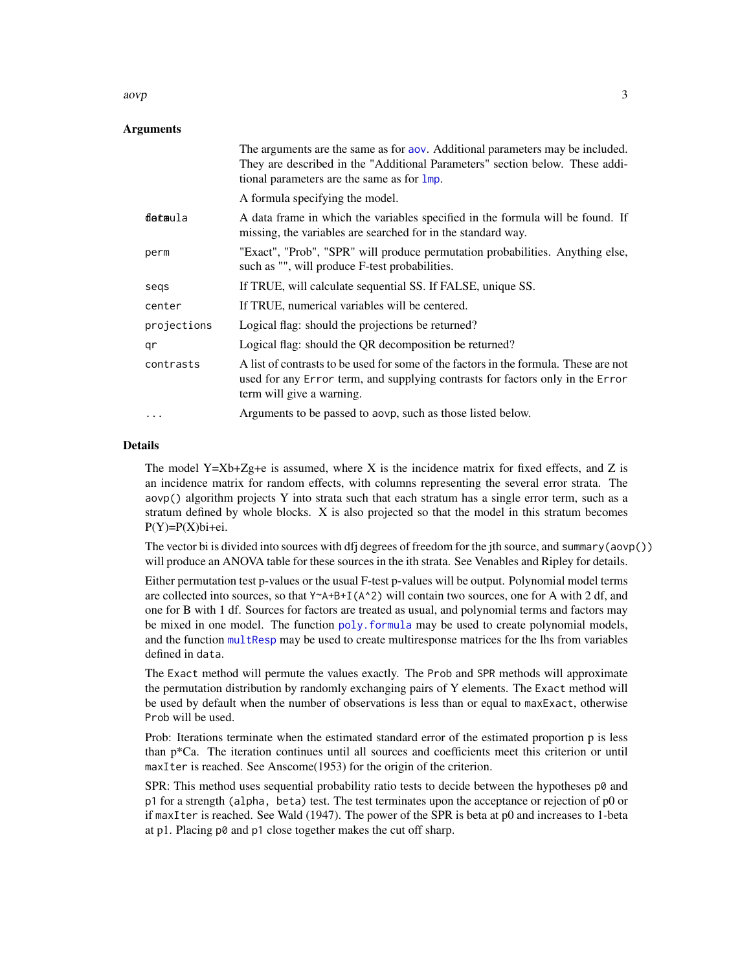#### <span id="page-2-0"></span> $aovp$  3

## Arguments

|             | The arguments are the same as for aov. Additional parameters may be included.<br>They are described in the "Additional Parameters" section below. These addi-<br>tional parameters are the same as for lmp. |
|-------------|-------------------------------------------------------------------------------------------------------------------------------------------------------------------------------------------------------------|
|             | A formula specifying the model.                                                                                                                                                                             |
| detaula     | A data frame in which the variables specified in the formula will be found. If<br>missing, the variables are searched for in the standard way.                                                              |
| perm        | "Exact", "Prob", "SPR" will produce permutation probabilities. Anything else,<br>such as "", will produce F-test probabilities.                                                                             |
| segs        | If TRUE, will calculate sequential SS. If FALSE, unique SS.                                                                                                                                                 |
| center      | If TRUE, numerical variables will be centered.                                                                                                                                                              |
| projections | Logical flag: should the projections be returned?                                                                                                                                                           |
| qr          | Logical flag: should the QR decomposition be returned?                                                                                                                                                      |
| contrasts   | A list of contrasts to be used for some of the factors in the formula. These are not<br>used for any Error term, and supplying contrasts for factors only in the Error<br>term will give a warning.         |
| $\cdots$    | Arguments to be passed to aovp, such as those listed below.                                                                                                                                                 |

#### Details

The model  $Y=Xb+Zg+e$  is assumed, where X is the incidence matrix for fixed effects, and Z is an incidence matrix for random effects, with columns representing the several error strata. The aovp() algorithm projects Y into strata such that each stratum has a single error term, such as a stratum defined by whole blocks. X is also projected so that the model in this stratum becomes  $P(Y)=P(X)$ bi+ei.

The vector bi is divided into sources with dfj degrees of freedom for the jth source, and summary(aovp()) will produce an ANOVA table for these sources in the ith strata. See Venables and Ripley for details.

Either permutation test p-values or the usual F-test p-values will be output. Polynomial model terms are collected into sources, so that  $Y^A + B + I(A^2)$  will contain two sources, one for A with 2 df, and one for B with 1 df. Sources for factors are treated as usual, and polynomial terms and factors may be mixed in one model. The function poly. formula may be used to create polynomial models, and the function [multResp](#page-14-1) may be used to create multiresponse matrices for the lhs from variables defined in data.

The Exact method will permute the values exactly. The Prob and SPR methods will approximate the permutation distribution by randomly exchanging pairs of Y elements. The Exact method will be used by default when the number of observations is less than or equal to maxExact, otherwise Prob will be used.

Prob: Iterations terminate when the estimated standard error of the estimated proportion p is less than p\*Ca. The iteration continues until all sources and coefficients meet this criterion or until maxIter is reached. See Anscome(1953) for the origin of the criterion.

SPR: This method uses sequential probability ratio tests to decide between the hypotheses  $p\ddot{\theta}$  and p1 for a strength (alpha, beta) test. The test terminates upon the acceptance or rejection of p0 or if maxIter is reached. See Wald (1947). The power of the SPR is beta at p0 and increases to 1-beta at p1. Placing p0 and p1 close together makes the cut off sharp.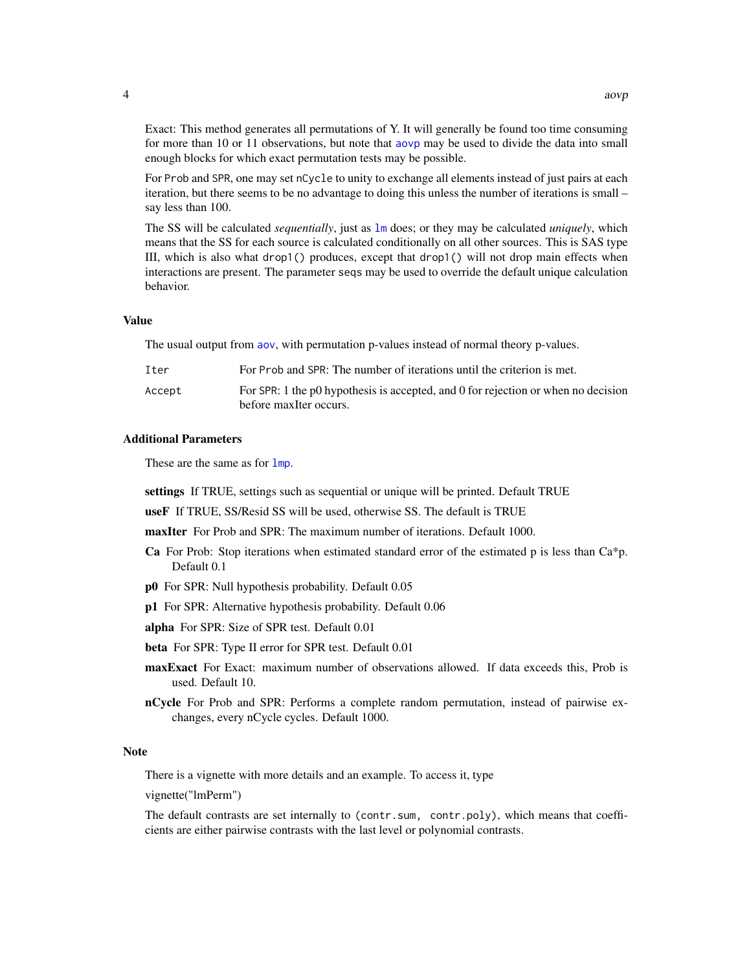<span id="page-3-0"></span>Exact: This method generates all permutations of Y. It will generally be found too time consuming for more than 10 or 11 observations, but note that [aovp](#page-1-1) may be used to divide the data into small enough blocks for which exact permutation tests may be possible.

For Prob and SPR, one may set nCycle to unity to exchange all elements instead of just pairs at each iteration, but there seems to be no advantage to doing this unless the number of iterations is small – say less than 100.

The SS will be calculated *sequentially*, just as [lm](#page-0-0) does; or they may be calculated *uniquely*, which means that the SS for each source is calculated conditionally on all other sources. This is SAS type III, which is also what drop1() produces, except that drop1() will not drop main effects when interactions are present. The parameter seqs may be used to override the default unique calculation behavior.

#### Value

The usual output from [aov](#page-0-0), with permutation p-values instead of normal theory p-values.

| Iter   | For Prob and SPR: The number of iterations until the criterion is met.                                      |
|--------|-------------------------------------------------------------------------------------------------------------|
| Accept | For SPR: 1 the p0 hypothesis is accepted, and 0 for rejection or when no decision<br>before maxiter occurs. |

#### Additional Parameters

These are the same as for  $lmp$ .

settings If TRUE, settings such as sequential or unique will be printed. Default TRUE

useF If TRUE, SS/Resid SS will be used, otherwise SS. The default is TRUE

maxIter For Prob and SPR: The maximum number of iterations. Default 1000.

- **Ca** For Prob: Stop iterations when estimated standard error of the estimated p is less than  $Ca^*p$ . Default 0.1
- p0 For SPR: Null hypothesis probability. Default 0.05
- p1 For SPR: Alternative hypothesis probability. Default 0.06
- alpha For SPR: Size of SPR test. Default 0.01
- beta For SPR: Type II error for SPR test. Default 0.01
- maxExact For Exact: maximum number of observations allowed. If data exceeds this, Prob is used. Default 10.
- nCycle For Prob and SPR: Performs a complete random permutation, instead of pairwise exchanges, every nCycle cycles. Default 1000.

#### Note

There is a vignette with more details and an example. To access it, type

vignette("lmPerm")

The default contrasts are set internally to (contr.sum, contr.poly), which means that coefficients are either pairwise contrasts with the last level or polynomial contrasts.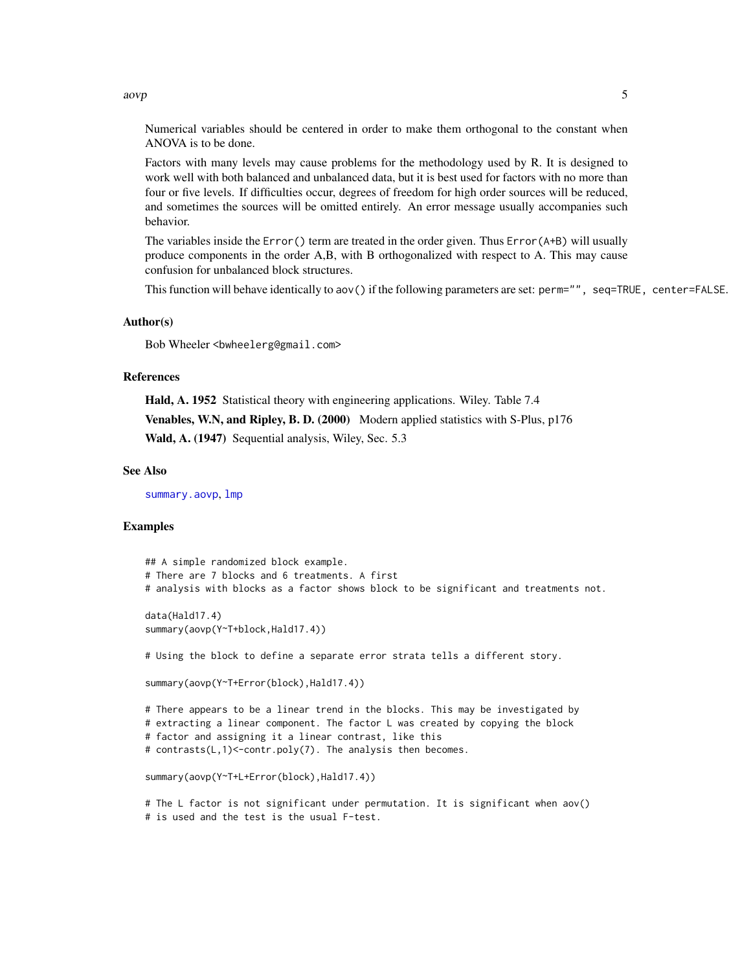<span id="page-4-0"></span> $aovp$  5

Numerical variables should be centered in order to make them orthogonal to the constant when ANOVA is to be done.

Factors with many levels may cause problems for the methodology used by R. It is designed to work well with both balanced and unbalanced data, but it is best used for factors with no more than four or five levels. If difficulties occur, degrees of freedom for high order sources will be reduced, and sometimes the sources will be omitted entirely. An error message usually accompanies such behavior.

The variables inside the Error() term are treated in the order given. Thus Error(A+B) will usually produce components in the order A,B, with B orthogonalized with respect to A. This may cause confusion for unbalanced block structures.

This function will behave identically to aov() if the following parameters are set: perm="", seq=TRUE, center=FALSE.

## Author(s)

Bob Wheeler <bwheelerg@gmail.com>

#### References

Hald, A. 1952 Statistical theory with engineering applications. Wiley. Table 7.4 Venables, W.N, and Ripley, B. D. (2000) Modern applied statistics with S-Plus, p176 Wald, A. (1947) Sequential analysis, Wiley, Sec. 5.3

#### See Also

[summary.aovp](#page-20-1), [lmp](#page-9-1)

#### Examples

```
## A simple randomized block example.
# There are 7 blocks and 6 treatments. A first
# analysis with blocks as a factor shows block to be significant and treatments not.
data(Hald17.4)
summary(aovp(Y~T+block,Hald17.4))
# Using the block to define a separate error strata tells a different story.
summary(aovp(Y~T+Error(block),Hald17.4))
# There appears to be a linear trend in the blocks. This may be investigated by
# extracting a linear component. The factor L was created by copying the block
# factor and assigning it a linear contrast, like this
# contrasts(L,1)<-contr.poly(7). The analysis then becomes.
summary(aovp(Y~T+L+Error(block),Hald17.4))
# The L factor is not significant under permutation. It is significant when aov()
# is used and the test is the usual F-test.
```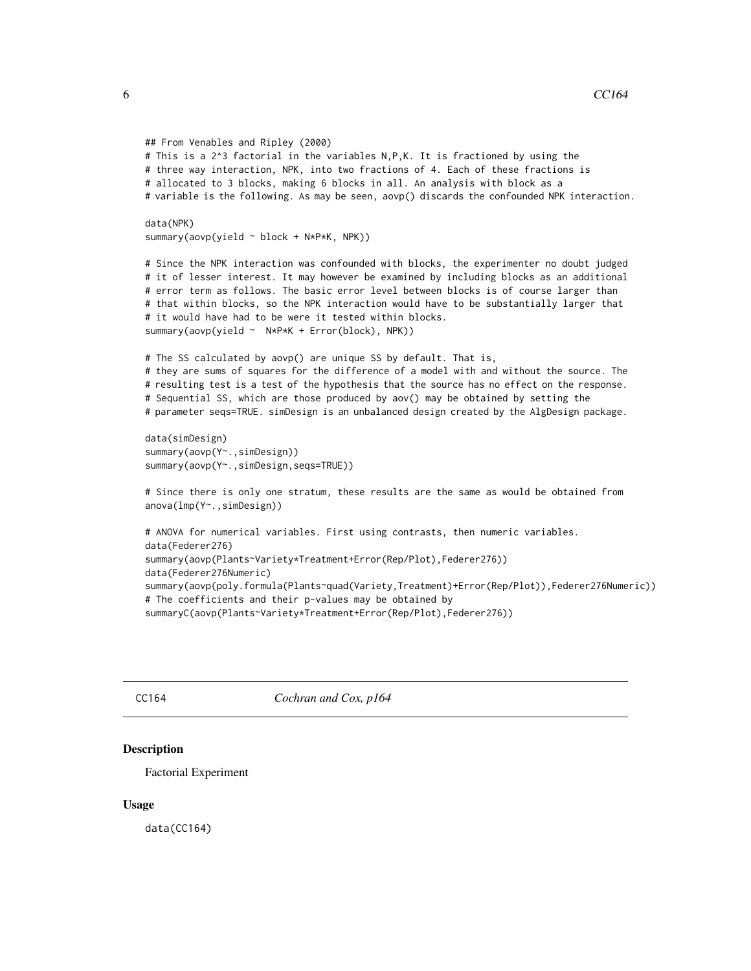```
## From Venables and Ripley (2000)
# This is a 2^3 factorial in the variables N,P,K. It is fractioned by using the
# three way interaction, NPK, into two fractions of 4. Each of these fractions is
# allocated to 3 blocks, making 6 blocks in all. An analysis with block as a
# variable is the following. As may be seen, aovp() discards the confounded NPK interaction.
data(NPK)
summary(aovp(yield ~ block + N*P*K, NPK))
# Since the NPK interaction was confounded with blocks, the experimenter no doubt judged
# it of lesser interest. It may however be examined by including blocks as an additional
# error term as follows. The basic error level between blocks is of course larger than
# that within blocks, so the NPK interaction would have to be substantially larger that
# it would have had to be were it tested within blocks.
summary(aovp(yield ~ N*P*K + Error(block), NPK))
# The SS calculated by aovp() are unique SS by default. That is,
# they are sums of squares for the difference of a model with and without the source. The
# resulting test is a test of the hypothesis that the source has no effect on the response.
# Sequential SS, which are those produced by aov() may be obtained by setting the
# parameter seqs=TRUE. simDesign is an unbalanced design created by the AlgDesign package.
data(simDesign)
summary(aovp(Y~.,simDesign))
summary(aovp(Y~.,simDesign,seqs=TRUE))
# Since there is only one stratum, these results are the same as would be obtained from
anova(lmp(Y~.,simDesign))
# ANOVA for numerical variables. First using contrasts, then numeric variables.
data(Federer276)
summary(aovp(Plants~Variety*Treatment+Error(Rep/Plot),Federer276))
data(Federer276Numeric)
summary(aovp(poly.formula(Plants~quad(Variety,Treatment)+Error(Rep/Plot)),Federer276Numeric))
# The coefficients and their p-values may be obtained by
summaryC(aovp(Plants~Variety*Treatment+Error(Rep/Plot),Federer276))
```
CC164 *Cochran and Cox, p164*

#### Description

Factorial Experiment

#### Usage

data(CC164)

<span id="page-5-0"></span>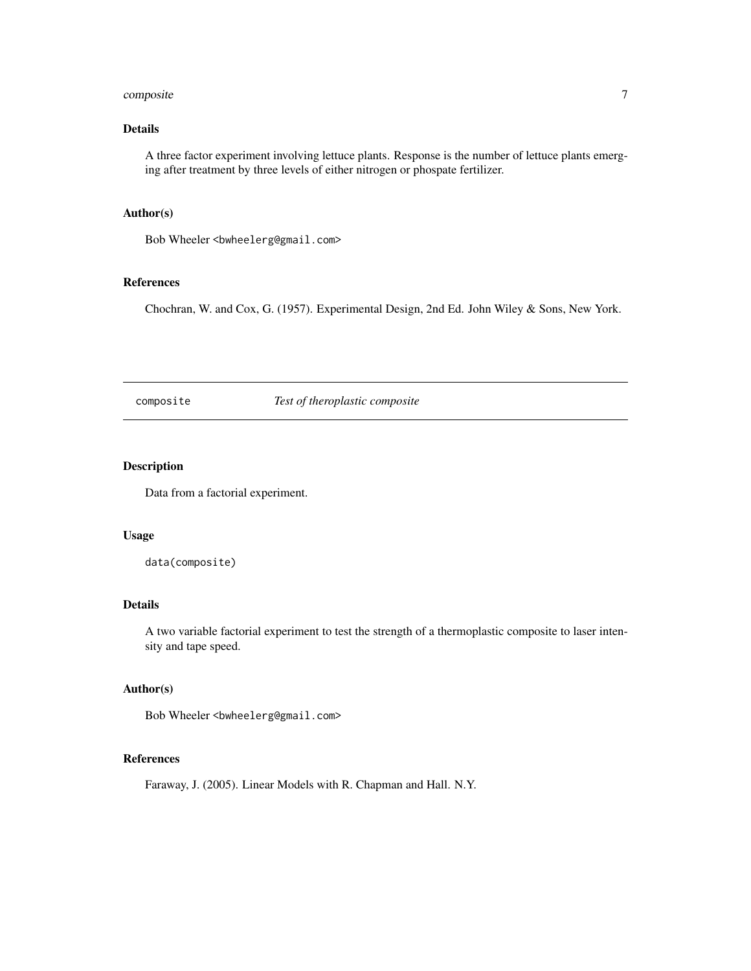## <span id="page-6-0"></span>composite 7

## Details

A three factor experiment involving lettuce plants. Response is the number of lettuce plants emerging after treatment by three levels of either nitrogen or phospate fertilizer.

#### Author(s)

Bob Wheeler<br/>bwheelerg@gmail.com>

## References

Chochran, W. and Cox, G. (1957). Experimental Design, 2nd Ed. John Wiley & Sons, New York.

composite *Test of theroplastic composite*

## Description

Data from a factorial experiment.

#### Usage

```
data(composite)
```
#### Details

A two variable factorial experiment to test the strength of a thermoplastic composite to laser intensity and tape speed.

#### Author(s)

Bob Wheeler<br/>bwheelerg@gmail.com>

## References

Faraway, J. (2005). Linear Models with R. Chapman and Hall. N.Y.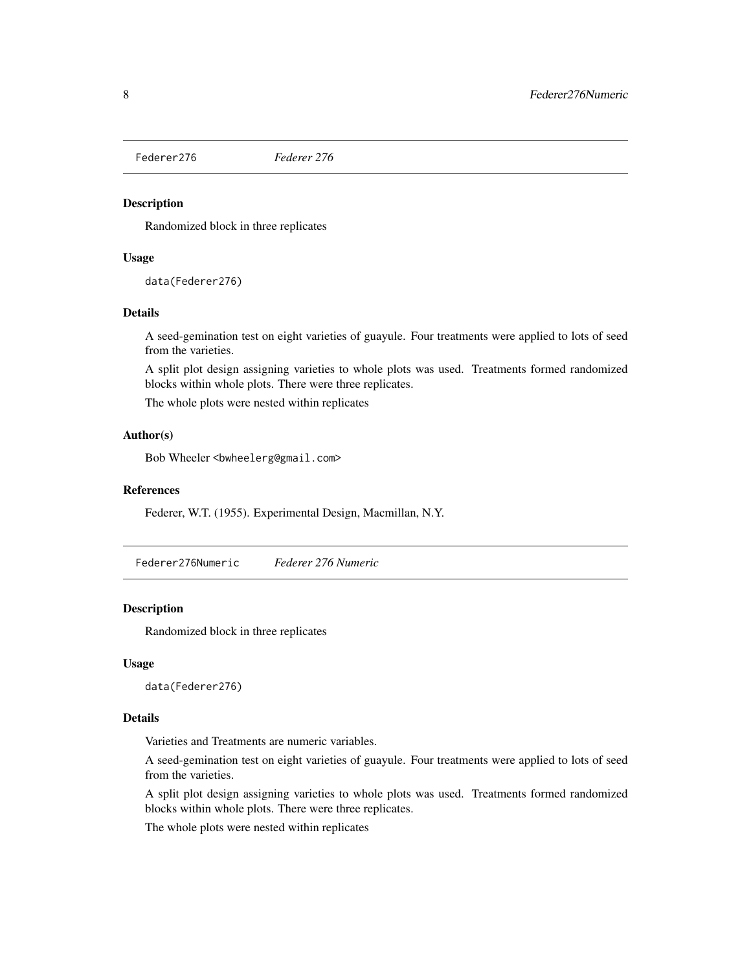<span id="page-7-0"></span>

Randomized block in three replicates

#### Usage

data(Federer276)

#### Details

A seed-gemination test on eight varieties of guayule. Four treatments were applied to lots of seed from the varieties.

A split plot design assigning varieties to whole plots was used. Treatments formed randomized blocks within whole plots. There were three replicates.

The whole plots were nested within replicates

#### Author(s)

Bob Wheeler<br/>>bwheelerg@gmail.com>

#### References

Federer, W.T. (1955). Experimental Design, Macmillan, N.Y.

Federer276Numeric *Federer 276 Numeric*

#### Description

Randomized block in three replicates

#### Usage

data(Federer276)

#### Details

Varieties and Treatments are numeric variables.

A seed-gemination test on eight varieties of guayule. Four treatments were applied to lots of seed from the varieties.

A split plot design assigning varieties to whole plots was used. Treatments formed randomized blocks within whole plots. There were three replicates.

The whole plots were nested within replicates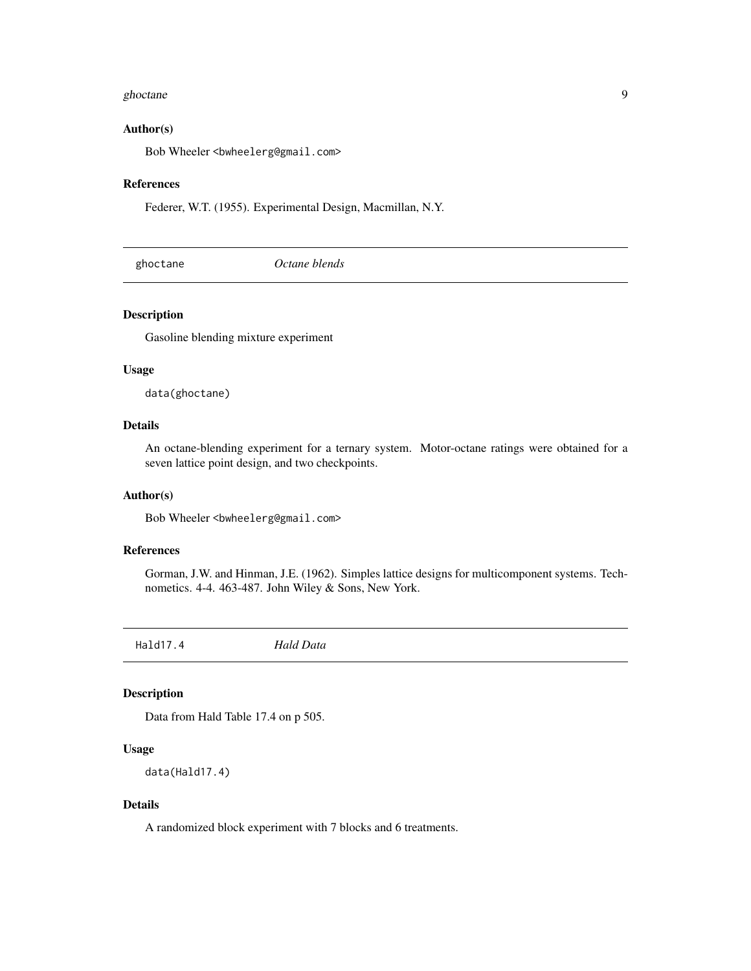#### <span id="page-8-0"></span>ghoctane 9

#### Author(s)

Bob Wheeler <br/>bwheelerg@gmail.com>

#### References

Federer, W.T. (1955). Experimental Design, Macmillan, N.Y.

ghoctane *Octane blends*

## Description

Gasoline blending mixture experiment

## Usage

data(ghoctane)

## Details

An octane-blending experiment for a ternary system. Motor-octane ratings were obtained for a seven lattice point design, and two checkpoints.

#### Author(s)

Bob Wheeler<br/>>bwheelerg@gmail.com>

#### References

Gorman, J.W. and Hinman, J.E. (1962). Simples lattice designs for multicomponent systems. Technometics. 4-4. 463-487. John Wiley & Sons, New York.

Hald17.4 *Hald Data*

## Description

Data from Hald Table 17.4 on p 505.

## Usage

```
data(Hald17.4)
```
## Details

A randomized block experiment with 7 blocks and 6 treatments.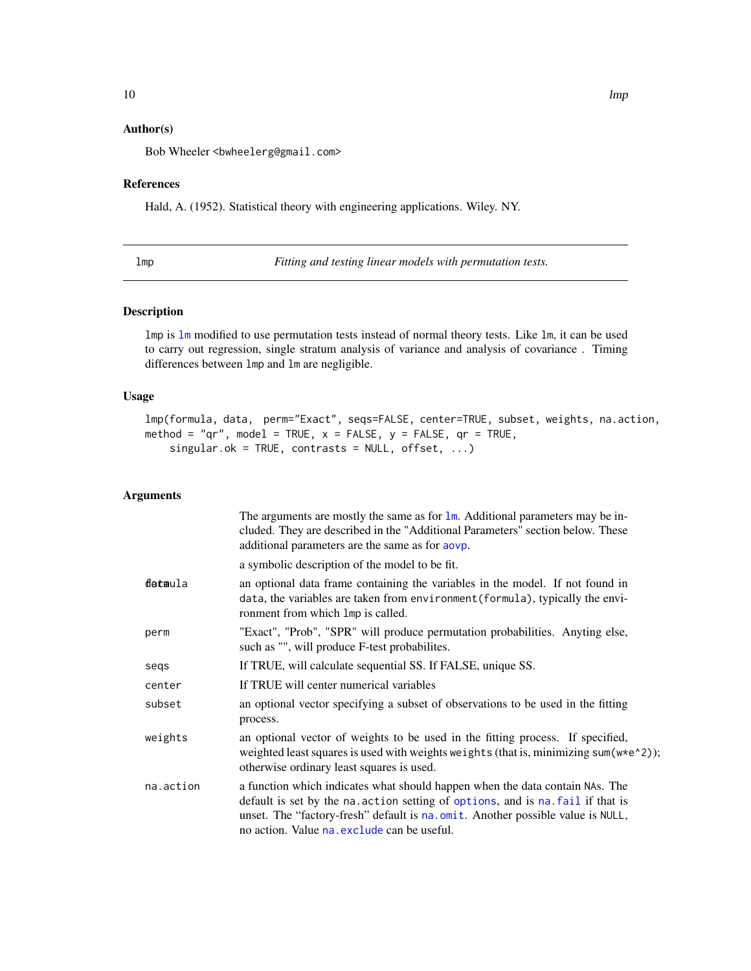## <span id="page-9-0"></span>Author(s)

Bob Wheeler <br/>bwheelerg@gmail.com>

#### References

Hald, A. (1952). Statistical theory with engineering applications. Wiley. NY.

<span id="page-9-1"></span>lmp *Fitting and testing linear models with permutation tests.*

## Description

lmp is [lm](#page-0-0) modified to use permutation tests instead of normal theory tests. Like lm, it can be used to carry out regression, single stratum analysis of variance and analysis of covariance . Timing differences between lmp and lm are negligible.

#### Usage

```
lmp(formula, data, perm="Exact", seqs=FALSE, center=TRUE, subset, weights, na.action,
method = "qr", model = TRUE, x = FALSE, y = FALSE, qr = TRUE,
    singular.ok = TRUE, contrasts = NULL, offset, ...)
```
## Arguments

|           | The arguments are mostly the same as for $\text{Im}$ . Additional parameters may be in-<br>cluded. They are described in the "Additional Parameters" section below. These<br>additional parameters are the same as for aovp.                                                                    |
|-----------|-------------------------------------------------------------------------------------------------------------------------------------------------------------------------------------------------------------------------------------------------------------------------------------------------|
|           | a symbolic description of the model to be fit.                                                                                                                                                                                                                                                  |
| detaula   | an optional data frame containing the variables in the model. If not found in<br>data, the variables are taken from environment (formula), typically the envi-<br>ronment from which lmp is called.                                                                                             |
| perm      | "Exact", "Prob", "SPR" will produce permutation probabilities. Anyting else,<br>such as "", will produce F-test probabilites.                                                                                                                                                                   |
| segs      | If TRUE, will calculate sequential SS. If FALSE, unique SS.                                                                                                                                                                                                                                     |
| center    | If TRUE will center numerical variables                                                                                                                                                                                                                                                         |
| subset    | an optional vector specifying a subset of observations to be used in the fitting<br>process.                                                                                                                                                                                                    |
| weights   | an optional vector of weights to be used in the fitting process. If specified,<br>weighted least squares is used with weights weights (that is, minimizing sum(w*e^2));<br>otherwise ordinary least squares is used.                                                                            |
| na.action | a function which indicates what should happen when the data contain NAs. The<br>default is set by the na. action setting of options, and is na. fail if that is<br>unset. The "factory-fresh" default is na.omit. Another possible value is NULL,<br>no action. Value na exclude can be useful. |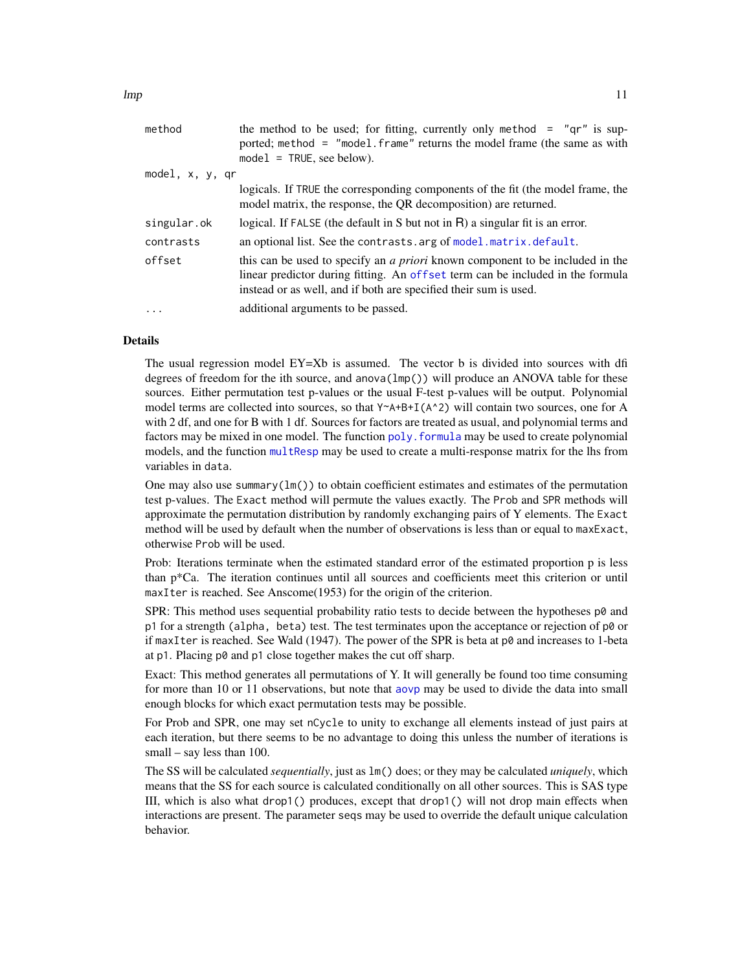<span id="page-10-0"></span>

| method          | the method to be used; for fitting, currently only method = $"qr"$ is sup-<br>ported; method = "model.frame" returns the model frame (the same as with<br>$model = TRUE$ , see below).                                                     |
|-----------------|--------------------------------------------------------------------------------------------------------------------------------------------------------------------------------------------------------------------------------------------|
| model, x, y, qr |                                                                                                                                                                                                                                            |
|                 | logicals. If TRUE the corresponding components of the fit (the model frame, the<br>model matrix, the response, the QR decomposition) are returned.                                                                                         |
| singular.ok     | logical. If FALSE (the default in S but not in R) a singular fit is an error.                                                                                                                                                              |
| contrasts       | an optional list. See the contrasts. arg of model. matrix. default.                                                                                                                                                                        |
| offset          | this can be used to specify an <i>a priori</i> known component to be included in the<br>linear predictor during fitting. An offset term can be included in the formula<br>instead or as well, and if both are specified their sum is used. |
| $\cdots$        | additional arguments to be passed.                                                                                                                                                                                                         |
|                 |                                                                                                                                                                                                                                            |

#### Details

The usual regression model  $EY = Xb$  is assumed. The vector b is divided into sources with dfi degrees of freedom for the ith source, and anova $(\text{Imp}(\))$  will produce an ANOVA table for these sources. Either permutation test p-values or the usual F-test p-values will be output. Polynomial model terms are collected into sources, so that  $Y^A + B + I(A^2)$  will contain two sources, one for A with 2 df, and one for B with 1 df. Sources for factors are treated as usual, and polynomial terms and factors may be mixed in one model. The function  $poly$ , formula may be used to create polynomial models, and the function [multResp](#page-14-1) may be used to create a multi-response matrix for the lhs from variables in data.

One may also use summary( $lm()$ ) to obtain coefficient estimates and estimates of the permutation test p-values. The Exact method will permute the values exactly. The Prob and SPR methods will approximate the permutation distribution by randomly exchanging pairs of Y elements. The Exact method will be used by default when the number of observations is less than or equal to maxExact, otherwise Prob will be used.

Prob: Iterations terminate when the estimated standard error of the estimated proportion p is less than p\*Ca. The iteration continues until all sources and coefficients meet this criterion or until maxIter is reached. See Anscome(1953) for the origin of the criterion.

SPR: This method uses sequential probability ratio tests to decide between the hypotheses  $p\ddot{\theta}$  and p1 for a strength (alpha, beta) test. The test terminates upon the acceptance or rejection of  $p\ddot{\theta}$  or if maxIter is reached. See Wald (1947). The power of the SPR is beta at  $p\theta$  and increases to 1-beta at p1. Placing p0 and p1 close together makes the cut off sharp.

Exact: This method generates all permutations of Y. It will generally be found too time consuming for more than 10 or 11 observations, but note that [aovp](#page-1-1) may be used to divide the data into small enough blocks for which exact permutation tests may be possible.

For Prob and SPR, one may set nCycle to unity to exchange all elements instead of just pairs at each iteration, but there seems to be no advantage to doing this unless the number of iterations is small – say less than 100.

The SS will be calculated *sequentially*, just as lm() does; or they may be calculated *uniquely*, which means that the SS for each source is calculated conditionally on all other sources. This is SAS type III, which is also what drop1() produces, except that drop1() will not drop main effects when interactions are present. The parameter seqs may be used to override the default unique calculation behavior.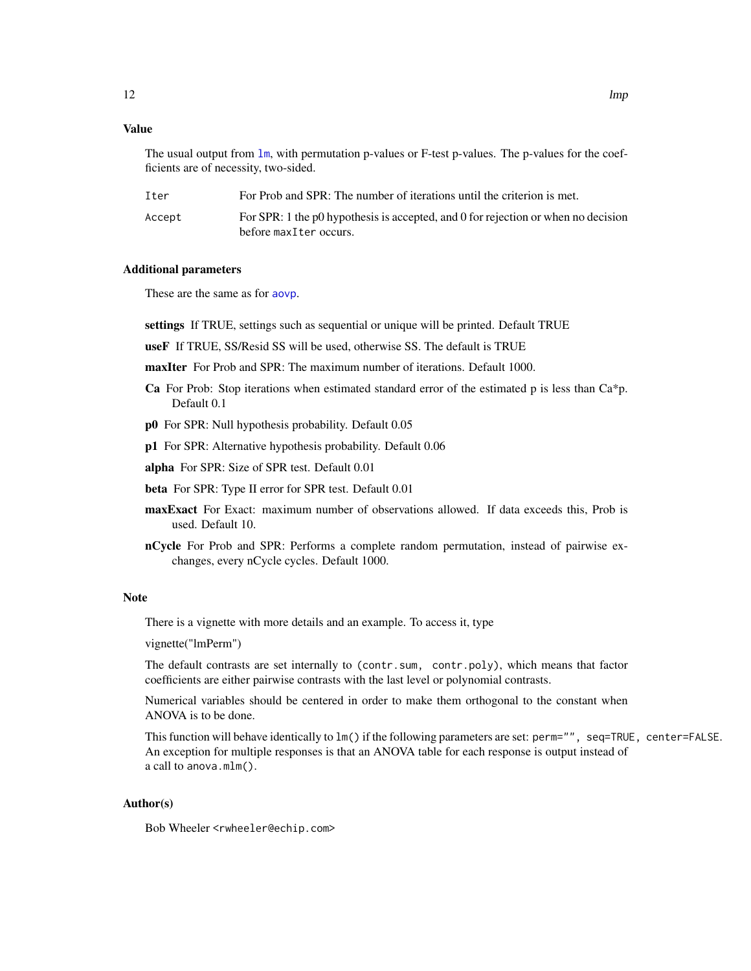## <span id="page-11-0"></span>Value

The usual output from  $\text{lm}$  $\text{lm}$  $\text{lm}$ , with permutation p-values or F-test p-values. The p-values for the coefficients are of necessity, two-sided.

| Iter   | For Prob and SPR: The number of iterations until the criterion is met.                                      |
|--------|-------------------------------------------------------------------------------------------------------------|
| Accept | For SPR: 1 the p0 hypothesis is accepted, and 0 for rejection or when no decision<br>before maxIter occurs. |

## Additional parameters

These are the same as for [aovp](#page-1-1).

settings If TRUE, settings such as sequential or unique will be printed. Default TRUE

useF If TRUE, SS/Resid SS will be used, otherwise SS. The default is TRUE

maxIter For Prob and SPR: The maximum number of iterations. Default 1000.

- **Ca** For Prob: Stop iterations when estimated standard error of the estimated p is less than  $Ca^*p$ . Default 0.1
- p0 For SPR: Null hypothesis probability. Default 0.05
- p1 For SPR: Alternative hypothesis probability. Default 0.06

alpha For SPR: Size of SPR test. Default 0.01

beta For SPR: Type II error for SPR test. Default 0.01

- maxExact For Exact: maximum number of observations allowed. If data exceeds this, Prob is used. Default 10.
- nCycle For Prob and SPR: Performs a complete random permutation, instead of pairwise exchanges, every nCycle cycles. Default 1000.

#### Note

There is a vignette with more details and an example. To access it, type

vignette("lmPerm")

The default contrasts are set internally to (contr.sum, contr.poly), which means that factor coefficients are either pairwise contrasts with the last level or polynomial contrasts.

Numerical variables should be centered in order to make them orthogonal to the constant when ANOVA is to be done.

This function will behave identically to lm() if the following parameters are set: perm="", seq=TRUE, center=FALSE. An exception for multiple responses is that an ANOVA table for each response is output instead of a call to anova.mlm().

## Author(s)

Bob Wheeler <rwheeler@echip.com>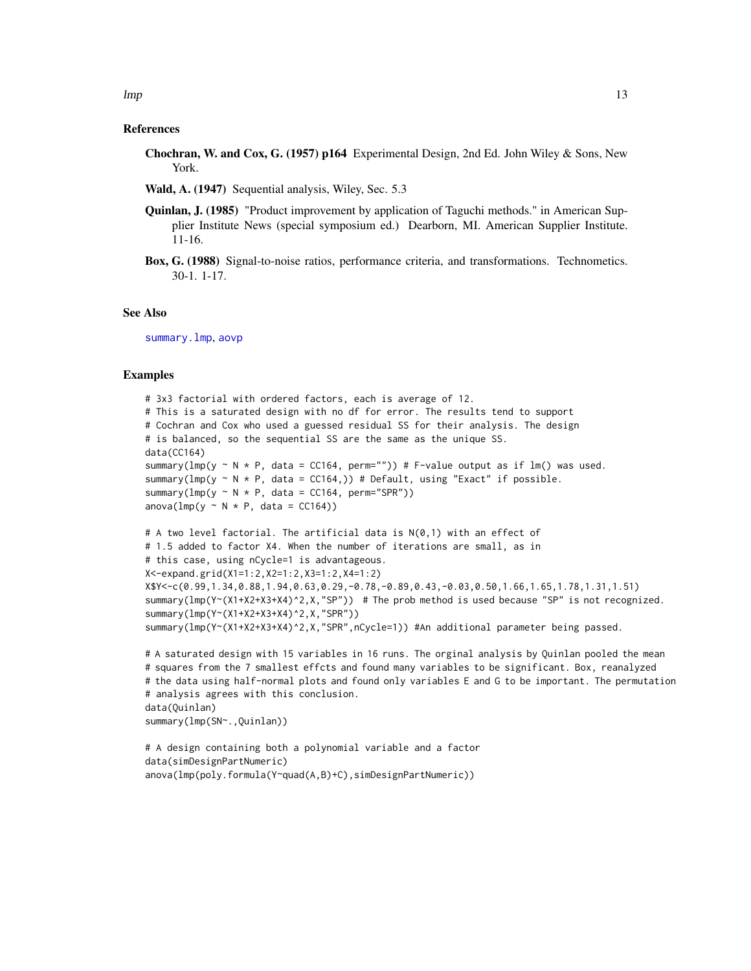#### <span id="page-12-0"></span>References

- Chochran, W. and Cox, G. (1957) p164 Experimental Design, 2nd Ed. John Wiley & Sons, New York.
- Wald, A. (1947) Sequential analysis, Wiley, Sec. 5.3
- **Quinlan, J. (1985)** "Product improvement by application of Taguchi methods." in American Supplier Institute News (special symposium ed.) Dearborn, MI. American Supplier Institute. 11-16.
- Box, G. (1988) Signal-to-noise ratios, performance criteria, and transformations. Technometics. 30-1. 1-17.

#### See Also

[summary.lmp](#page-20-1), [aovp](#page-1-1)

#### Examples

```
# 3x3 factorial with ordered factors, each is average of 12.
# This is a saturated design with no df for error. The results tend to support
# Cochran and Cox who used a guessed residual SS for their analysis. The design
# is balanced, so the sequential SS are the same as the unique SS.
data(CC164)
summary(lmp(y \sim N \times P, data = CC164, perm="")) # F-value output as if lm() was used.
summary(lmp(y \sim N * P, data = CC164,)) # Default, using "Exact" if possible.
summary(lmp(y \sim N * P, data = CC164, perm="SPR"))
anova(Imp(y \sim N * P, data = CC164))# A two level factorial. The artificial data is N(0,1) with an effect of
# 1.5 added to factor X4. When the number of iterations are small, as in
# this case, using nCycle=1 is advantageous.
X<-expand.grid(X1=1:2,X2=1:2,X3=1:2,X4=1:2)
X$Y<-c(0.99,1.34,0.88,1.94,0.63,0.29,-0.78,-0.89,0.43,-0.03,0.50,1.66,1.65,1.78,1.31,1.51)
summary(lmp(Y~(X1+X2+X3+X4)^2,X,"SP")) # The prob method is used because "SP" is not recognized.
summary(lmp(Y~(X1+X2+X3+X4)^2,X,"SPR"))
summary(lmp(Y~(X1+X2+X3+X4)^2,X,"SPR",nCycle=1)) #An additional parameter being passed.
```

```
# A saturated design with 15 variables in 16 runs. The orginal analysis by Quinlan pooled the mean
# squares from the 7 smallest effcts and found many variables to be significant. Box, reanalyzed
# the data using half-normal plots and found only variables E and G to be important. The permutation
# analysis agrees with this conclusion.
data(Quinlan)
summary(lmp(SN~.,Quinlan))
```

```
# A design containing both a polynomial variable and a factor
data(simDesignPartNumeric)
anova(lmp(poly.formula(Y~quad(A,B)+C),simDesignPartNumeric))
```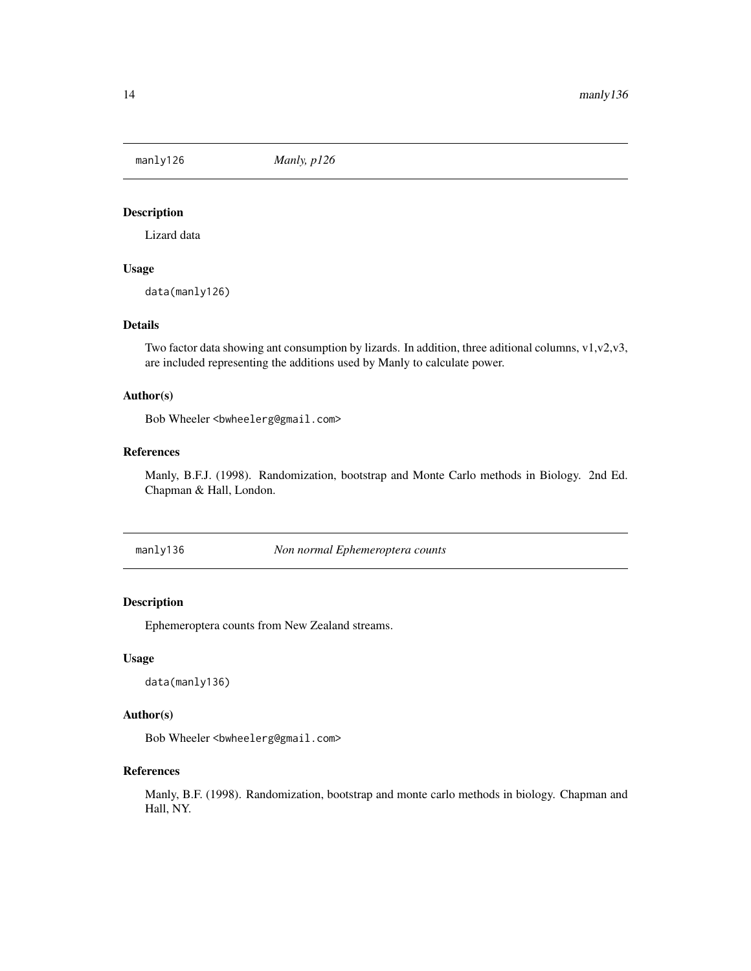<span id="page-13-0"></span>

Lizard data

## Usage

data(manly126)

## Details

Two factor data showing ant consumption by lizards. In addition, three aditional columns, v1,v2,v3, are included representing the additions used by Manly to calculate power.

#### Author(s)

Bob Wheeler<br/>>bwheelerg@gmail.com>

## References

Manly, B.F.J. (1998). Randomization, bootstrap and Monte Carlo methods in Biology. 2nd Ed. Chapman & Hall, London.

manly136 *Non normal Ephemeroptera counts*

## Description

Ephemeroptera counts from New Zealand streams.

## Usage

data(manly136)

## Author(s)

Bob Wheeler<br/>bwheelerg@gmail.com>

## References

Manly, B.F. (1998). Randomization, bootstrap and monte carlo methods in biology. Chapman and Hall, NY.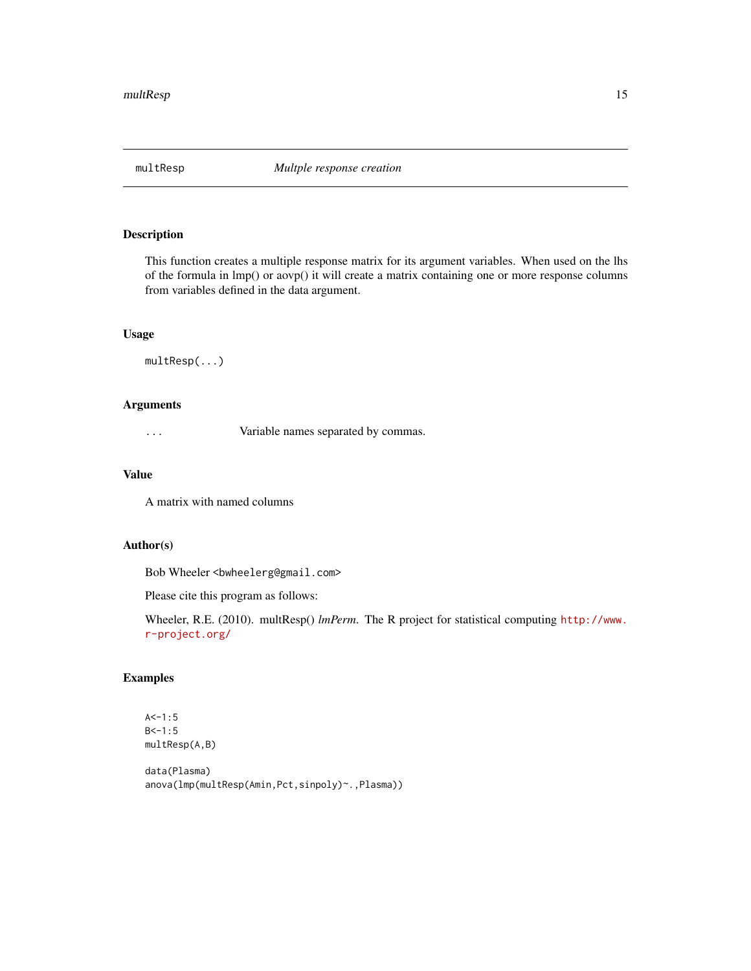<span id="page-14-1"></span><span id="page-14-0"></span>

This function creates a multiple response matrix for its argument variables. When used on the lhs of the formula in lmp() or aovp() it will create a matrix containing one or more response columns from variables defined in the data argument.

## Usage

multResp(...)

## Arguments

... Variable names separated by commas.

## Value

A matrix with named columns

### Author(s)

Bob Wheeler<br/>>bwheelerg@gmail.com>

Please cite this program as follows:

Wheeler, R.E. (2010). multResp() *lmPerm*. The R project for statistical computing [http://www.](http://www.r-project.org/) [r-project.org/](http://www.r-project.org/)

## Examples

```
A < -1:5B<-1:5multResp(A,B)
```

```
data(Plasma)
anova(lmp(multResp(Amin,Pct,sinpoly)~.,Plasma))
```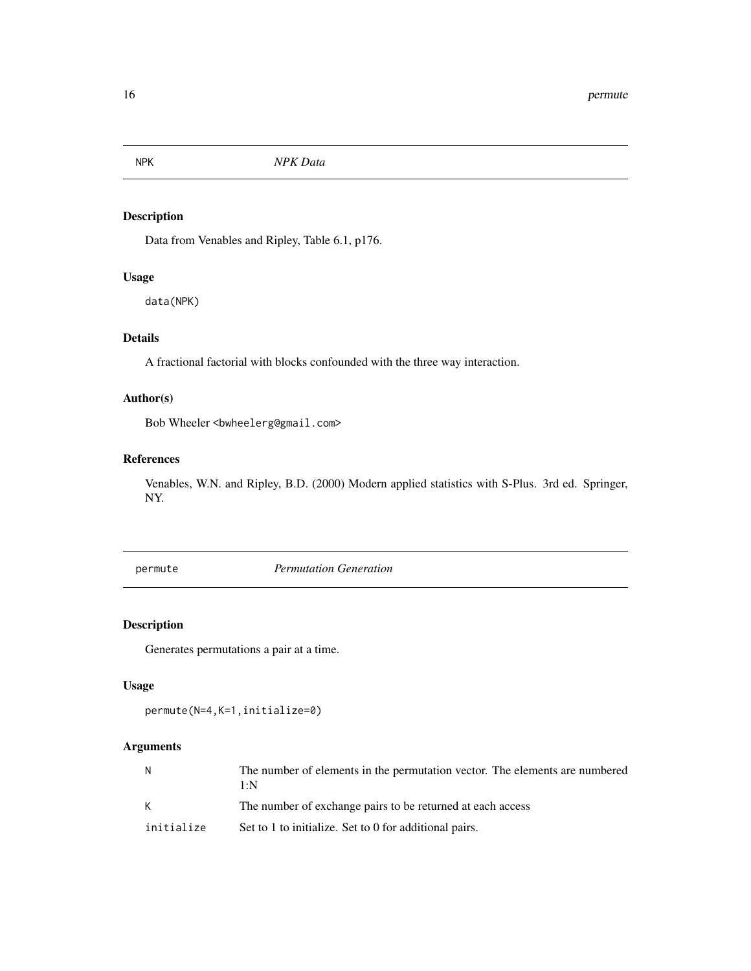<span id="page-15-0"></span>

Data from Venables and Ripley, Table 6.1, p176.

## Usage

data(NPK)

## Details

A fractional factorial with blocks confounded with the three way interaction.

## Author(s)

Bob Wheeler<br/>>bwheelerg@gmail.com>

## References

Venables, W.N. and Ripley, B.D. (2000) Modern applied statistics with S-Plus. 3rd ed. Springer, NY.

permute *Permutation Generation*

## Description

Generates permutations a pair at a time.

## Usage

```
permute(N=4,K=1,initialize=0)
```
## Arguments

| N          | The number of elements in the permutation vector. The elements are numbered<br>1·N |
|------------|------------------------------------------------------------------------------------|
| K          | The number of exchange pairs to be returned at each access                         |
| initialize | Set to 1 to initialize. Set to 0 for additional pairs.                             |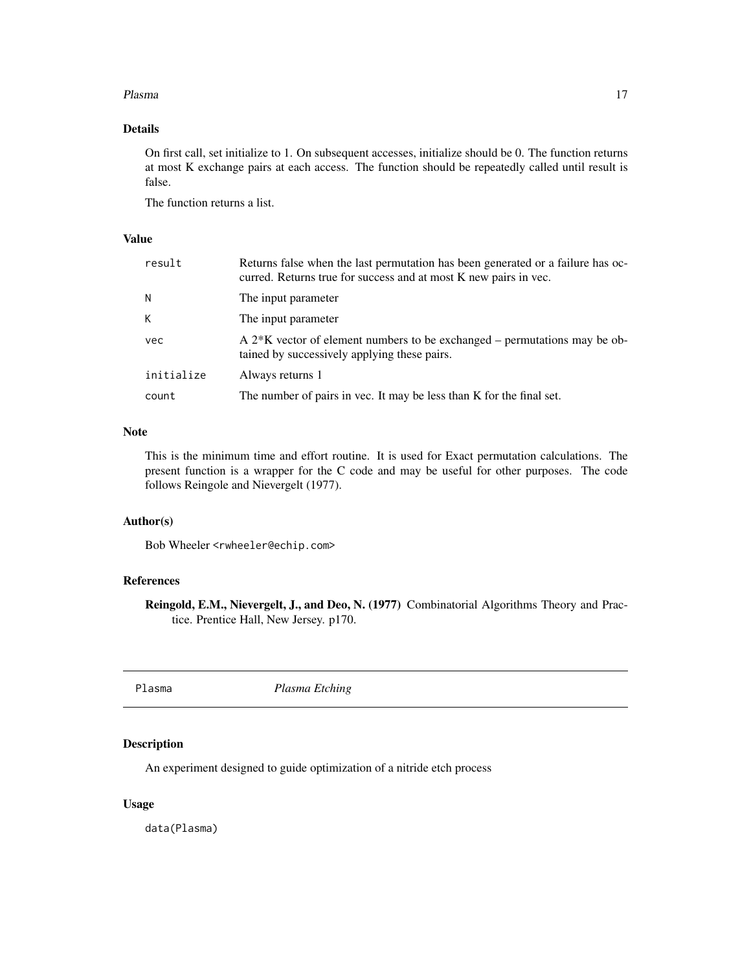#### <span id="page-16-0"></span>Plasma and the contract of the contract of the contract of the contract of the contract of the contract of the contract of the contract of the contract of the contract of the contract of the contract of the contract of the

## Details

On first call, set initialize to 1. On subsequent accesses, initialize should be 0. The function returns at most K exchange pairs at each access. The function should be repeatedly called until result is false.

The function returns a list.

## Value

| result     | Returns false when the last permutation has been generated or a failure has oc-<br>curred. Returns true for success and at most K new pairs in vec. |
|------------|-----------------------------------------------------------------------------------------------------------------------------------------------------|
| N          | The input parameter                                                                                                                                 |
| K          | The input parameter                                                                                                                                 |
| vec        | A $2*K$ vector of element numbers to be exchanged – permutations may be ob-<br>tained by successively applying these pairs.                         |
| initialize | Always returns 1                                                                                                                                    |
| count      | The number of pairs in vec. It may be less than K for the final set.                                                                                |

## Note

This is the minimum time and effort routine. It is used for Exact permutation calculations. The present function is a wrapper for the C code and may be useful for other purposes. The code follows Reingole and Nievergelt (1977).

#### Author(s)

Bob Wheeler <rwheeler@echip.com>

## References

Reingold, E.M., Nievergelt, J., and Deo, N. (1977) Combinatorial Algorithms Theory and Practice. Prentice Hall, New Jersey. p170.

Plasma *Plasma Etching*

## Description

An experiment designed to guide optimization of a nitride etch process

#### Usage

data(Plasma)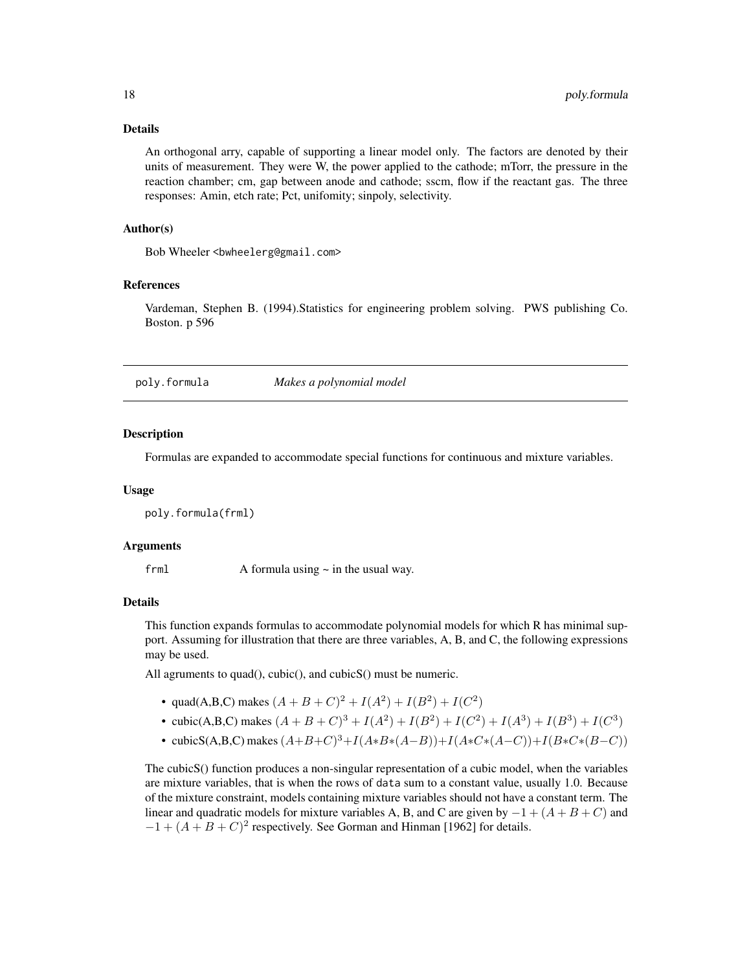#### <span id="page-17-0"></span>Details

An orthogonal arry, capable of supporting a linear model only. The factors are denoted by their units of measurement. They were W, the power applied to the cathode; mTorr, the pressure in the reaction chamber; cm, gap between anode and cathode; sscm, flow if the reactant gas. The three responses: Amin, etch rate; Pct, unifomity; sinpoly, selectivity.

#### Author(s)

Bob Wheeler <br/>bwheelerg@gmail.com>

#### References

Vardeman, Stephen B. (1994).Statistics for engineering problem solving. PWS publishing Co. Boston. p 596

<span id="page-17-1"></span>

poly.formula *Makes a polynomial model*

#### **Description**

Formulas are expanded to accommodate special functions for continuous and mixture variables.

#### Usage

poly.formula(frml)

## Arguments

frml  $A$  formula using  $\sim$  in the usual way.

#### Details

This function expands formulas to accommodate polynomial models for which R has minimal support. Assuming for illustration that there are three variables, A, B, and C, the following expressions may be used.

All agruments to quad(), cubic(), and cubicS() must be numeric.

- quad(A,B,C) makes  $(A + B + C)^2 + I(A^2) + I(B^2) + I(C^2)$
- cubic(A,B,C) makes  $(A + B + C)^3 + I(A^2) + I(B^2) + I(C^2) + I(A^3) + I(B^3) + I(C^3)$
- cubicS(A,B,C) makes  $(A+B+C)^3+I(A*B*(A-B))+I(A*C*(A-C))+I(B*C*(B-C))$

The cubicS() function produces a non-singular representation of a cubic model, when the variables are mixture variables, that is when the rows of data sum to a constant value, usually 1.0. Because of the mixture constraint, models containing mixture variables should not have a constant term. The linear and quadratic models for mixture variables A, B, and C are given by  $-1 + (A + B + C)$  and  $-1 + (A + B + C)^2$  respectively. See Gorman and Hinman [1962] for details.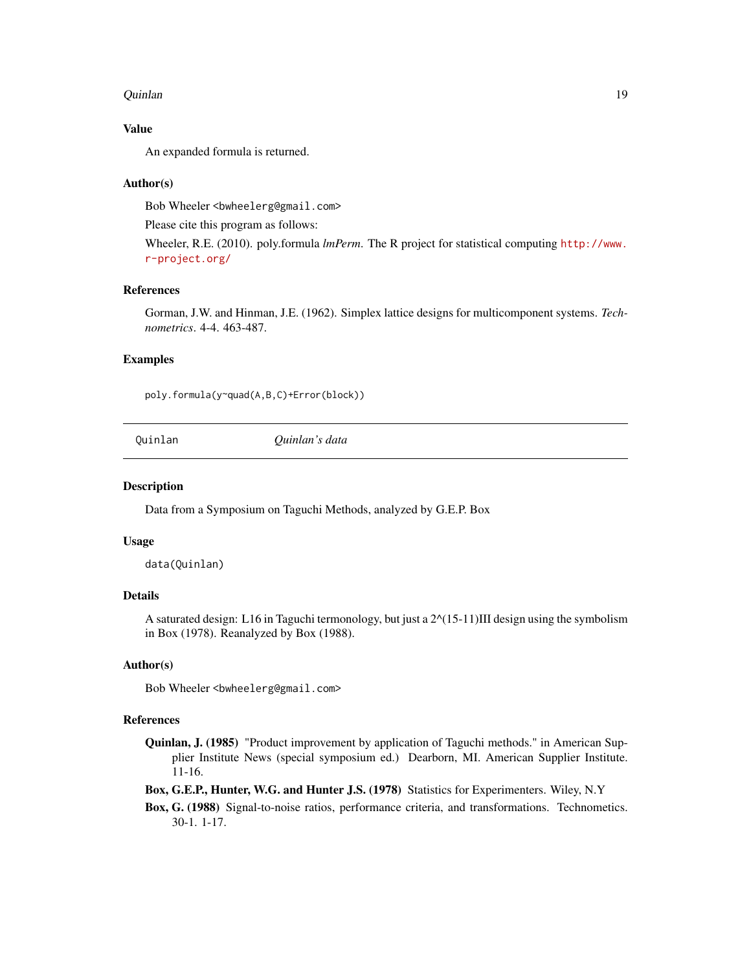#### <span id="page-18-0"></span>Quinlan 19

## Value

An expanded formula is returned.

#### Author(s)

Bob Wheeler<br/>bwheelerg@gmail.com>

Please cite this program as follows:

Wheeler, R.E. (2010). poly.formula *lmPerm*. The R project for statistical computing [http://www.](http://www.r-project.org/) [r-project.org/](http://www.r-project.org/)

#### References

Gorman, J.W. and Hinman, J.E. (1962). Simplex lattice designs for multicomponent systems. *Technometrics*. 4-4. 463-487.

## Examples

poly.formula(y~quad(A,B,C)+Error(block))

Quinlan *Quinlan's data*

#### Description

Data from a Symposium on Taguchi Methods, analyzed by G.E.P. Box

#### Usage

data(Quinlan)

## Details

A saturated design: L16 in Taguchi termonology, but just a  $2^{\wedge}(15-11)$ III design using the symbolism in Box (1978). Reanalyzed by Box (1988).

## Author(s)

Bob Wheeler<br/>bwheelerg@gmail.com>

#### References

Quinlan, J. (1985) "Product improvement by application of Taguchi methods." in American Supplier Institute News (special symposium ed.) Dearborn, MI. American Supplier Institute. 11-16.

Box, G.E.P., Hunter, W.G. and Hunter J.S. (1978) Statistics for Experimenters. Wiley, N.Y

Box, G. (1988) Signal-to-noise ratios, performance criteria, and transformations. Technometics. 30-1. 1-17.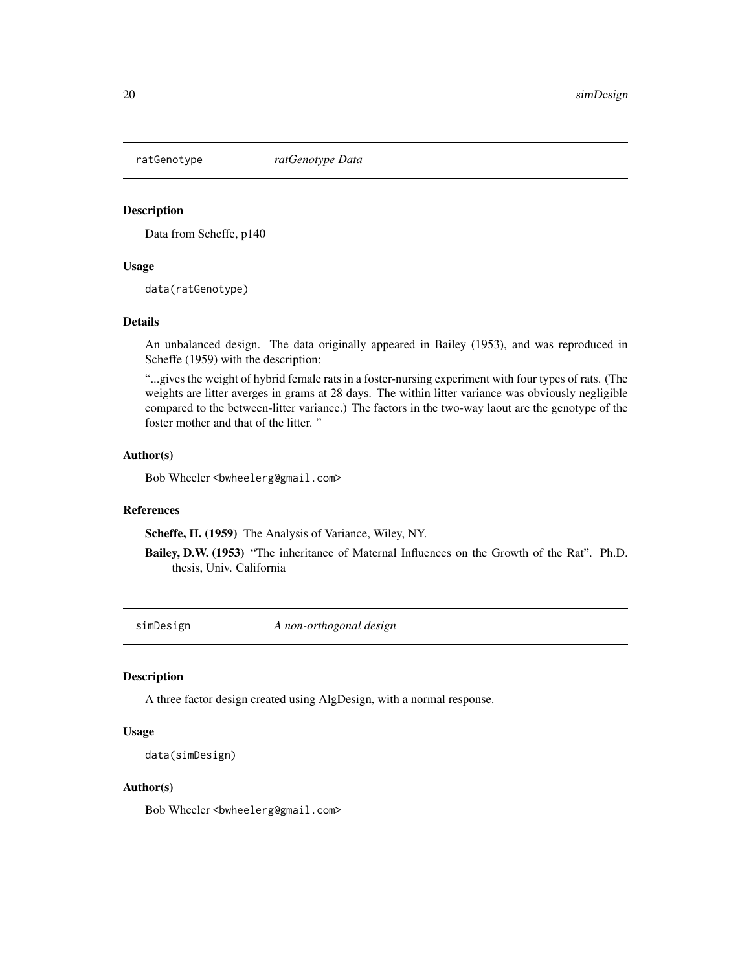<span id="page-19-0"></span>

Data from Scheffe, p140

#### Usage

data(ratGenotype)

## Details

An unbalanced design. The data originally appeared in Bailey (1953), and was reproduced in Scheffe (1959) with the description:

"...gives the weight of hybrid female rats in a foster-nursing experiment with four types of rats. (The weights are litter averges in grams at 28 days. The within litter variance was obviously negligible compared to the between-litter variance.) The factors in the two-way laout are the genotype of the foster mother and that of the litter. "

#### Author(s)

Bob Wheeler <br/>bwheelerg@gmail.com>

#### References

Scheffe, H. (1959) The Analysis of Variance, Wiley, NY.

Bailey, D.W. (1953) "The inheritance of Maternal Influences on the Growth of the Rat". Ph.D. thesis, Univ. California

simDesign *A non-orthogonal design*

#### Description

A three factor design created using AlgDesign, with a normal response.

#### Usage

```
data(simDesign)
```
## Author(s)

Bob Wheeler<br/>bwheelerg@gmail.com>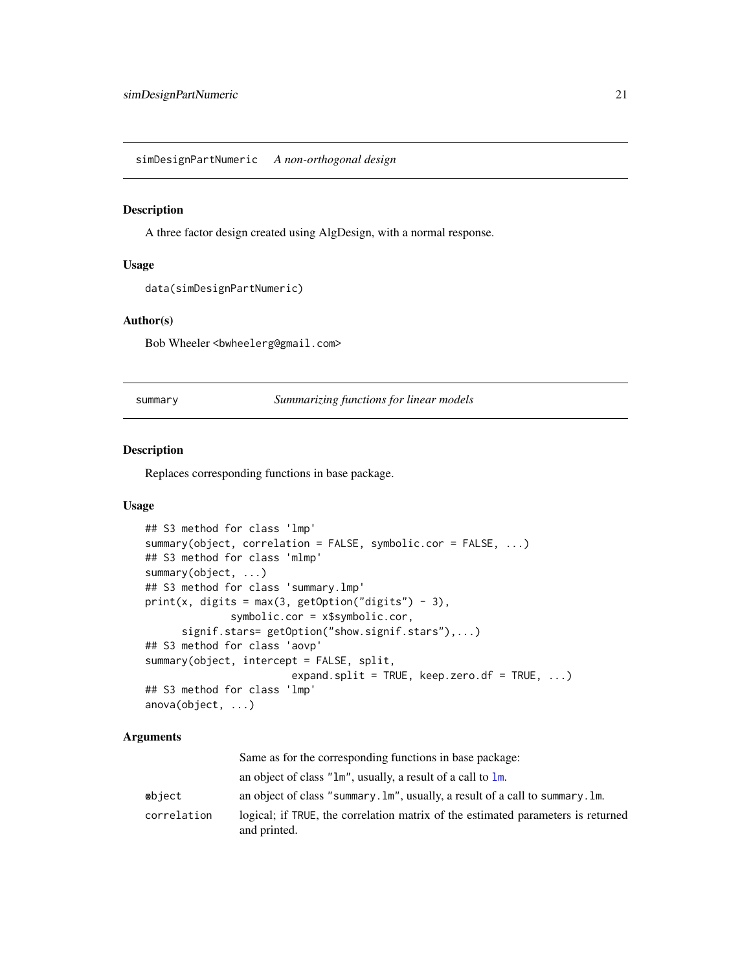<span id="page-20-0"></span>simDesignPartNumeric *A non-orthogonal design*

#### Description

A three factor design created using AlgDesign, with a normal response.

#### Usage

```
data(simDesignPartNumeric)
```
## Author(s)

Bob Wheeler<br/>>bwheelerg@gmail.com>

summary *Summarizing functions for linear models*

#### <span id="page-20-1"></span>Description

Replaces corresponding functions in base package.

## Usage

```
## S3 method for class 'lmp'
summary(object, correlation = FALSE, symbolic.cor = FALSE, ...)
## S3 method for class 'mlmp'
summary(object, ...)
## S3 method for class 'summary.lmp'
print(x, digits = max(3, getOption("digits") - 3),symbolic.cor = x$symbolic.cor,
      signif.stars= getOption("show.signif.stars"),...)
## S3 method for class 'aovp'
summary(object, intercept = FALSE, split,
                        expand.split = TRUE, keep.zero.df = TRUE, \ldots)
## S3 method for class 'lmp'
anova(object, ...)
```
#### Arguments

|             | Same as for the corresponding functions in base package:                                          |
|-------------|---------------------------------------------------------------------------------------------------|
|             | an object of class " $\text{Im}$ ", usually, a result of a call to $\text{Im}$ .                  |
| ⊗bject      | an object of class "summary. $\text{Im}$ ", usually, a result of a call to summary. $\text{Im}$ . |
| correlation | logical; if TRUE, the correlation matrix of the estimated parameters is returned<br>and printed.  |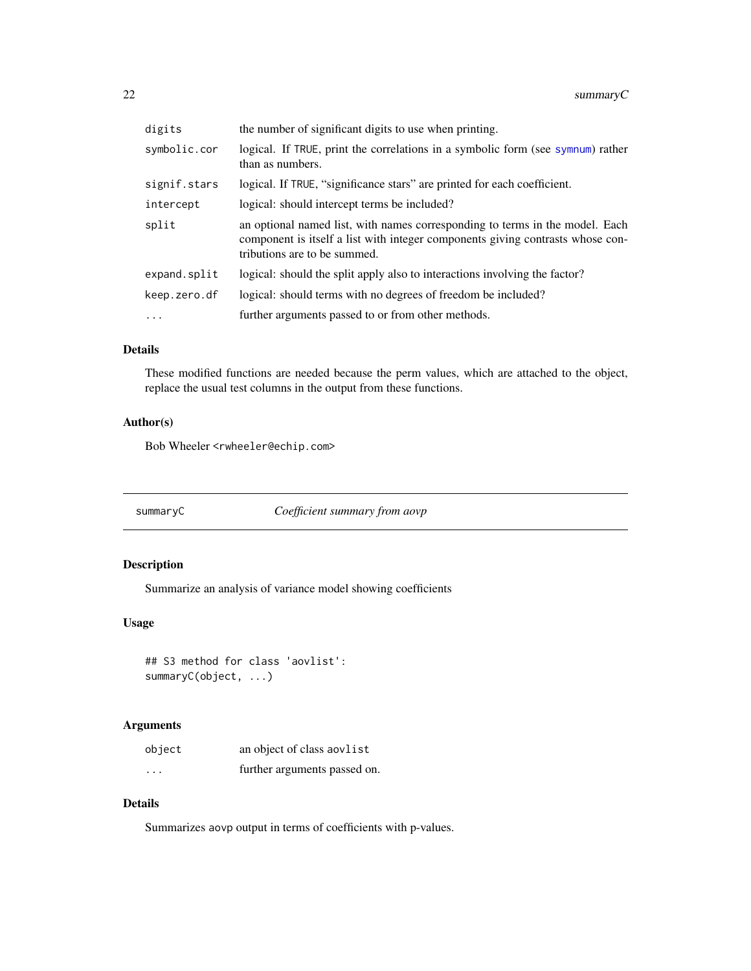<span id="page-21-0"></span>

| digits       | the number of significant digits to use when printing.                                                                                                                                         |  |
|--------------|------------------------------------------------------------------------------------------------------------------------------------------------------------------------------------------------|--|
| symbolic.cor | logical. If TRUE, print the correlations in a symbolic form (see symnum) rather<br>than as numbers.                                                                                            |  |
| signif.stars | logical. If TRUE, "significance stars" are printed for each coefficient.                                                                                                                       |  |
| intercept    | logical: should intercept terms be included?                                                                                                                                                   |  |
| split        | an optional named list, with names corresponding to terms in the model. Each<br>component is itself a list with integer components giving contrasts whose con-<br>tributions are to be summed. |  |
| expand.split | logical: should the split apply also to interactions involving the factor?                                                                                                                     |  |
| keep.zero.df | logical: should terms with no degrees of freedom be included?                                                                                                                                  |  |
| $\ddots$     | further arguments passed to or from other methods.                                                                                                                                             |  |

## Details

These modified functions are needed because the perm values, which are attached to the object, replace the usual test columns in the output from these functions.

## Author(s)

Bob Wheeler <rwheeler@echip.com>

summaryC *Coefficient summary from aovp*

## Description

Summarize an analysis of variance model showing coefficients

## Usage

```
## S3 method for class 'aovlist':
summaryC(object, ...)
```
## Arguments

| object   | an object of class aovlist   |
|----------|------------------------------|
| $\cdots$ | further arguments passed on. |

## Details

Summarizes aovp output in terms of coefficients with p-values.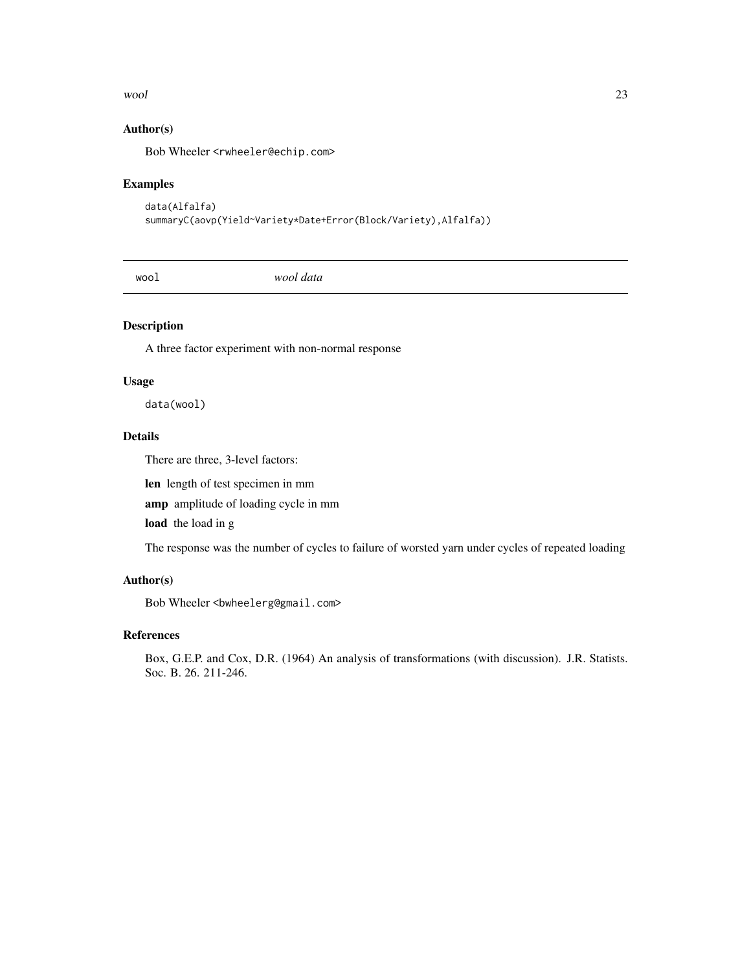#### <span id="page-22-0"></span>wool 23

## Author(s)

Bob Wheeler <rwheeler@echip.com>

## Examples

```
data(Alfalfa)
summaryC(aovp(Yield~Variety*Date+Error(Block/Variety),Alfalfa))
```
wool *wool data*

## Description

A three factor experiment with non-normal response

#### Usage

data(wool)

## Details

There are three, 3-level factors:

len length of test specimen in mm

amp amplitude of loading cycle in mm

load the load in g

The response was the number of cycles to failure of worsted yarn under cycles of repeated loading

## Author(s)

Bob Wheeler<br/>>bwheelerg@gmail.com>

## References

Box, G.E.P. and Cox, D.R. (1964) An analysis of transformations (with discussion). J.R. Statists. Soc. B. 26. 211-246.